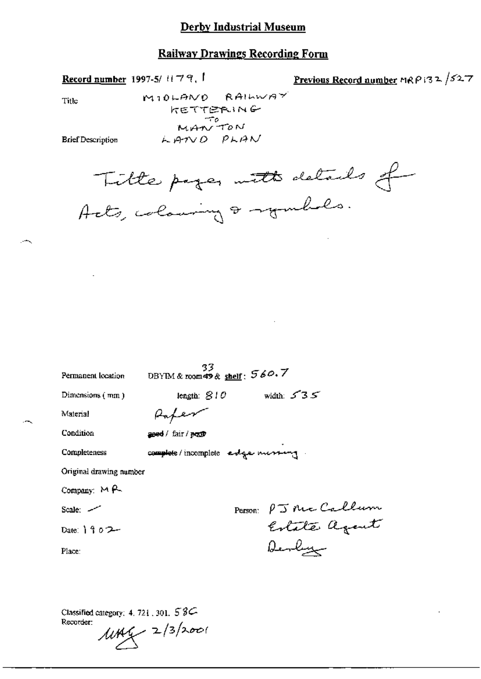### **Railway Drawings Recording Form**

Record number 1997-5/ $H79$ ,

Previous Record number MRP132 /527

Title

MIOLAND RAILWAY **KETTERING** MANTON LAND PLAN

**Brief Description** 

Title pages with details of

| Permanent location       | 33<br>DBYIM & room 49 & shelf: $560.7$ |
|--------------------------|----------------------------------------|
| Dimensions (mm)          | width: $535$<br>length: $810$          |
| Material                 | Hapen                                  |
| Condition                | ased / fair / popp                     |
| Completeness             | complete/incomplete estge mussing      |
| Original drawing number  |                                        |
| Company: $M \rightarrow$ |                                        |
| Scale: 2                 | Person: PJ Mc Callum                   |
| Date: 1902               |                                        |
| Place:                   | Denlyge                                |

Classified category: 4, 721, 301, 5 8C-Recorder:  $1049 - 2/3/2001$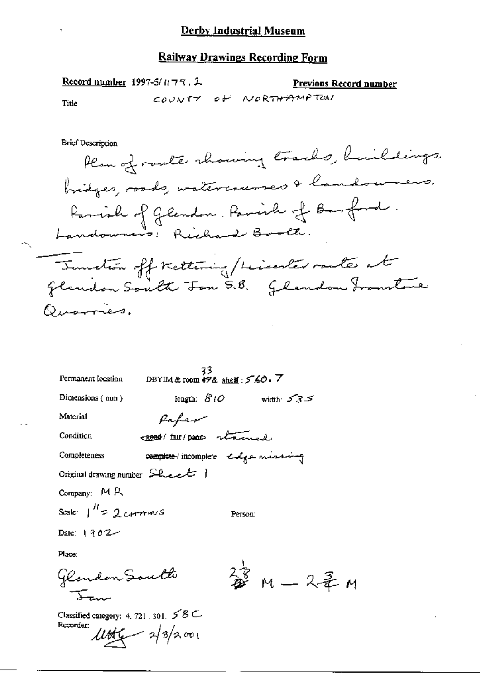Record number 1997-5/ $n \rightarrow 2$ ,  $\lambda$ 

Previous Record number

Title

COUNTY OF NORTHAMPTON

**Brief Description** 

Plan of route showing tracks, buildings, bridges, roads, watercourses & landousers. Ramish of Glendon. Parish of Barford. Tunction off trettering/heiserter rantes at Quarres.

| 33<br>DBYIM & room $49\%$ shelf: $560.7$<br>Permanent location |
|----------------------------------------------------------------|
| length: $810$ width: $535$<br>Dimensions $($ nun $)$           |
| Material<br>Paper                                              |
| EBBO / fair / poor stained<br>Condition                        |
| complete incomplete endge minimage<br>Completeness             |
| Original drawing number $S$ leet $\ $                          |
| Company: MR                                                    |
| Scale: $\int_{0}^{H}$ = 2 cH $\pi$ mv S<br>Person:             |
| Date: $1902 -$                                                 |
| Place:                                                         |
| 签 m - 2毛 m<br>Glendon South                                    |

Classified category: 4, 721, 301,  $58C$ Recorder:  $\mu$ tte  $\sim$  2/3/2001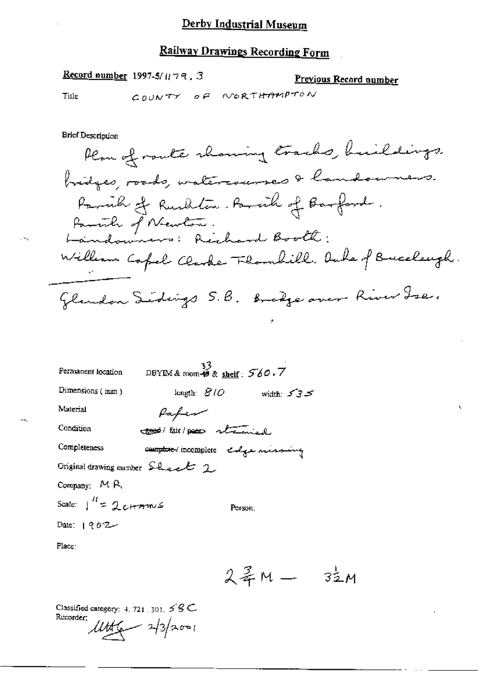### Railway Drawings Recording Form

Record number 1997-5/ $\mu$ 79, 3

Previous Record number

Title

COUNTY OF NORTHAMPTON

**Brief Description** 

Plan of route showing tracks, buildings. bridges, roads, watercourses & landourners. Parcial of Rushlin. Parcial of Barford. Parish of Newton.<br>Landowners: Rechard Booth: William Capel Clarke Flombill. Oute of Buccleugh. Glandon Sidings 5.B. Bradge over River Ise.

| Permanent location                                    | 33<br>DBYIM & room $\stackrel{33}{\bullet}$ & <u>shelf</u> : $560.7$ |             |
|-------------------------------------------------------|----------------------------------------------------------------------|-------------|
| Dimensions (mm)                                       | length: $B/O$                                                        | width $535$ |
| Material                                              | fafew                                                                |             |
| Condition                                             | <del>cood</del> /fair/pear strained                                  |             |
| Completeness                                          | complete incomplete colge mining                                     |             |
| Original drawing number $\mathcal{L}_{\text{test}}$ 2 |                                                                      |             |
| Company: MR                                           |                                                                      |             |
| Scale: $\int_0^H = 2cH$                               |                                                                      | Person:     |
| Date: $902 -$                                         |                                                                      |             |
| Place:                                                |                                                                      |             |

 $24M - 32M$ 

Classified category: 4, 721, 301,  $58C$ Recorder:  $\mu$ tte  $-$  2/3/2001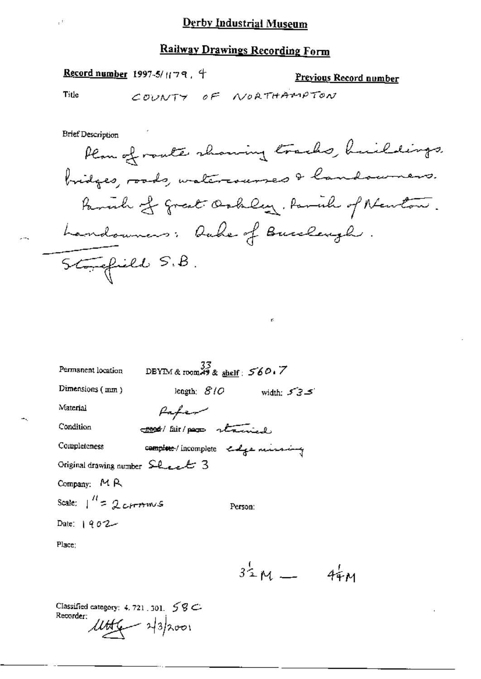### **Railway Drawings Recording Form**

Record number 1997-5/ $179.4$ 

Previous Record number

Title

Ţ,

COUNTY OF NORTHAMPTON

**Brief Description** Plan of route showing tracks, huildings, bridges, roods, watercourses & landowners. Family of great Ochley, Paral of Newton. Landounas: Duke of Bucchangh. Storefield S.B.

| Permanent location              | DBYIM & room 49 & shelf: $560.7$    |              |
|---------------------------------|-------------------------------------|--------------|
| Dimensions (mm)                 | length: $\mathcal{B}/\mathcal{O}$   | width: $535$ |
| Material                        | Paper                               |              |
| Condition                       | come fair pour stained              |              |
| Completeness                    | complete / incomplete endge mussing |              |
| Original drawing number Sheet 3 |                                     |              |
| Company: MR                     |                                     |              |
| Scale: $1'' = 2c$ rmws          | Person:                             |              |
| Date: $1902 -$                  |                                     |              |
| Place:                          |                                     |              |

 $34M - 44M$ 

Classified category: 4, 721, 301,  $58C$ Recorder:  $10 + 43$ /2001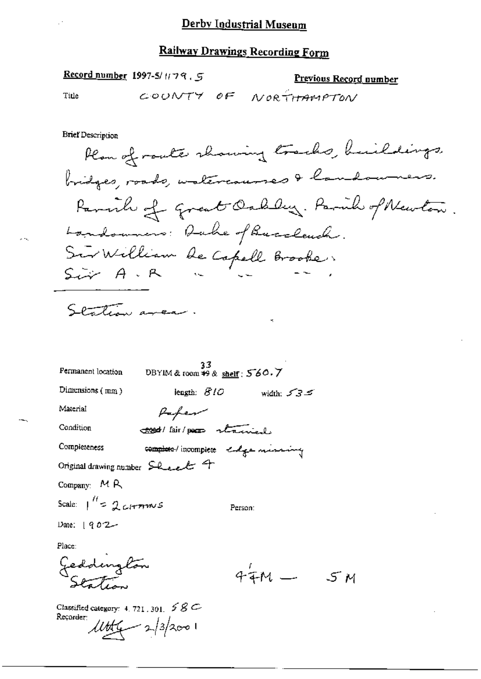Record number 1997-5/ $H79, 5$ 

Previous Record number

5 м

Title

COUNTY OF NORTHAMPTON

**Brief Description** 

Plan of route showing tracks, buildings. bridges, roads, watercourses & landowners. Parish of Great Oakley. Paril of Newton. Landowners: Duke of Buccleuch. Sur William de Capell Brooke,

Station area.

| Permanent location   | 33<br>DBYIM & room #9 & shelf: 560.7  |              |
|----------------------|---------------------------------------|--------------|
| Dimensions $(mn)$    | iength: $\mathcal{B}$ / $\mathcal{O}$ | width: $535$ |
| Material             | Paper                                 |              |
| Condition            | cood/fair/poco stanisl                |              |
| Completeness         | complete / incomplete codge musicing  |              |
|                      | Original drawing number Sheech 4      |              |
| Company: MR          |                                       |              |
| Scale: 1″= 2 cHrmmus |                                       | Person:      |
| Date: $1902 -$       |                                       |              |
| Place:               |                                       |              |
| Geddington           |                                       | 44M          |

Classified category: 4, 721, 301,  $58C$ Recorder:  $\mu$ tte = 2/3/2001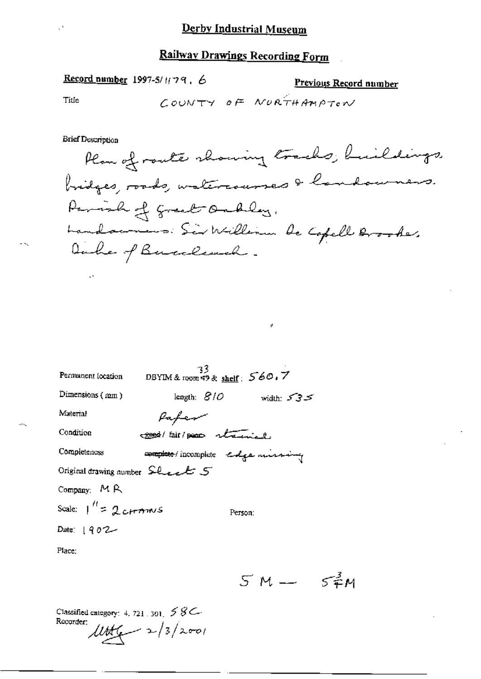## Record number 1997-5/1179, 6

#### Previous Record number

Title

 $\mathcal{O}^{\mathcal{A}}$ 

COUNTY OF NURTHAMPTON

**Brief Description** 

 $\boldsymbol{\phi}$ 

| Permanent location                                                                           | 33<br>DBYIM & room $\overline{49}$ & shelf: $560.7$ |              |
|----------------------------------------------------------------------------------------------|-----------------------------------------------------|--------------|
| Dimensions $(mm)$                                                                            | length: $810$                                       | width: $535$ |
| Material                                                                                     | Paper                                               |              |
| Condition                                                                                    | coord fair por returned.                            |              |
| Completeness                                                                                 | complete / incomplete edge missing                  |              |
| Original drawing number $\mathsf{S}\mathsf{L}_\mathsf{L}\mathsf{L}\mathsf{L}'$ $\mathsf{S}'$ |                                                     |              |
| Company: $M R$                                                                               |                                                     |              |
| Scale: $1'' = 2 \text{ terms}$                                                               | Person:                                             |              |
| Date: $1902 -$                                                                               |                                                     |              |
| Place:                                                                                       |                                                     |              |

 $5M - 5^{3}M$ 

Classified category: 4, 721, 301,  $58C$ Recorder:  $lltt(1) = 2/3/2001$ 

нų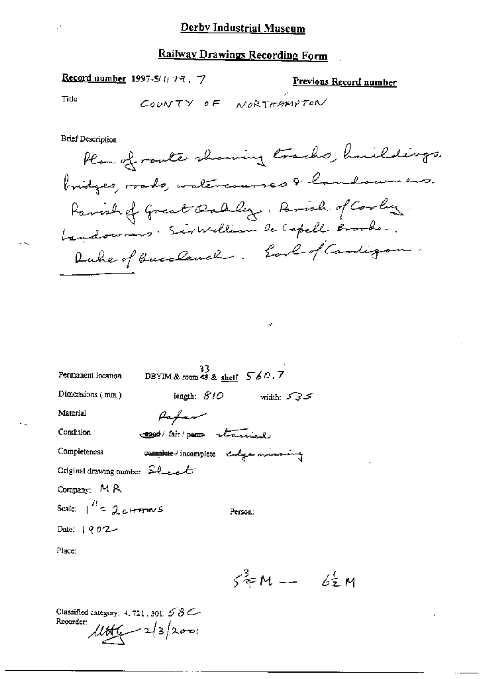### Record number 1997-5/1(79, 7)

### Previous Record number

Title

COUNTY OF NORTHAMPTON

**Brief Description** 

Plan of route showing tracks, huildings. bridges, roads, watercourses & landowners. Parish of Great Oakley, Arrish of Corley bandocomers. Sir William de Capell Brooke. Duke of Buccleach. Earl of Cardigan.

¢

| Permanent location            | 33<br>DBYIM & room $\stackrel{\sim}{\leftrightarrow}$ & shelf ; $560.7$ |              |
|-------------------------------|-------------------------------------------------------------------------|--------------|
| Dimensions (mm)               | iength: <i>810</i>                                                      | width: $535$ |
| Material                      | Pafer                                                                   |              |
| Condition                     | cood/ fair/paren staining                                               |              |
| Completeness                  | complete incomplete endge minimum                                       |              |
| Original drawing number Sheel |                                                                         |              |
| Company: $M R$                |                                                                         |              |
| Scale: $1^{H}$ = 2 cH mws     | Person:                                                                 |              |
| Date: $902 -$                 |                                                                         |              |
| Place:                        |                                                                         |              |

 $54M - 62M$ 

Classified category: 4, 721, 301, 5 8C Recorder:  $1000 - 23/2000$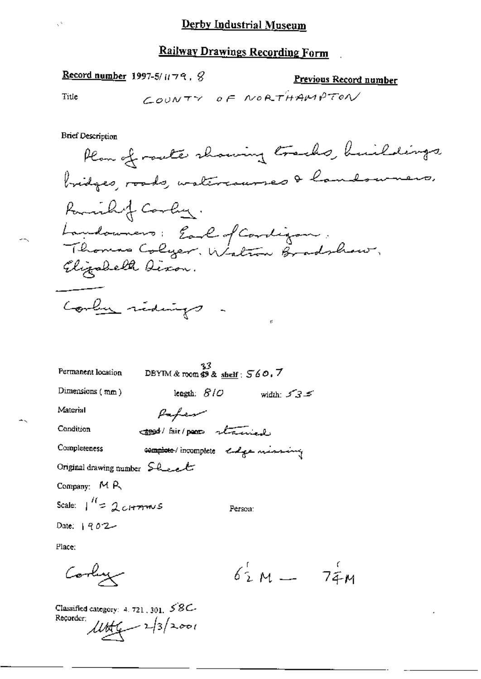Record number 1997-5/ $u \rightarrow 9$ ,  $\beta$ 

Previous Record number

Title

ж,

 $\mathcal{O}$ 

COUNTY OF NORTHAMPTON

**Brief Description** 

| Permanent location                                                           | DBYIM & room $\mathcal{B}$ & shelf: $560.7$ |              |
|------------------------------------------------------------------------------|---------------------------------------------|--------------|
| Dimensions $(mm)$                                                            | length: $B1O$                               | width: $535$ |
| Material                                                                     | Paper                                       |              |
| Condition                                                                    | <b>Cood</b> / fair/poor stand               |              |
| Completeness                                                                 | complete incomplete endge mining            |              |
| Original drawing number $\mathsf{S}\mathsf{L}\mathsf{L}\mathsf{L}\mathsf{L}$ |                                             |              |
| Company: MR                                                                  |                                             |              |
| Scale: $1^{\prime\prime} = 2$ cH $\tau$ mus                                  | Person:                                     |              |
| Date: $902 -$                                                                |                                             |              |
| Place:                                                                       |                                             |              |

 $62^6M - 74M$ Cooling

Classified category: 4, 721, 301,  $\angle$ 8C-Recorder;  $\frac{11666}{2} - 2/3/2001$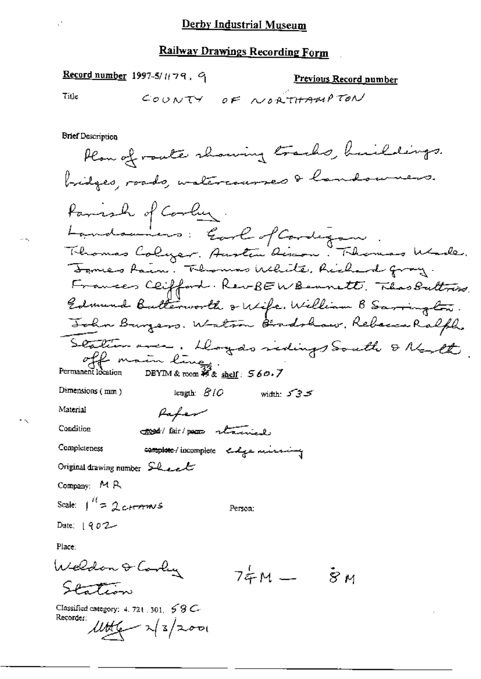Record number 1997-5/1(79, 9)

**Previous Record number** 

Title

COUNTY OF NORTHAMPTON

**Brief Description** 

Plan of route showing tracks, huildings. bridges, roads, watercourses & landowners. Parish of Corby. Landonners: Earl of Cardigan.<br>Theomas Calyer. Austin Rison. Thomas Woole. Temes Rain. Thomas White, Richard gray. Frances Clifford. Rev-BEWBennett, ThosPuttrise. Edmund Butterworth & Wife, William B Sarrington. John Burgers. Watson Bradshaw, Rebecca Ralph. Station avec. Dogas vidings South & North. DBYIM & room  $\mathcal{Z}_{\& \underline{\text{shell}}}$ : 560.7 Dimensions (mm) length:  $\mathcal{B}$  /  $\mathcal{O}$ کے کی *Width:* ک Material Pafer Condition good (fair) pour stained Completeness complete / incomplete edge missing Original drawing number  $SL$ Company: MR Scale:  $1^{11} = 2$  ctraws Person: Date:  $1902 -$ Place: Weldon & Cooly  $74M - 8M$ Station Classified category: 4, 721, 301,  $58C$ Recorder:

 $\mu$ tte  $\sim$   $\frac{1}{2}$   $\sim$   $\sim$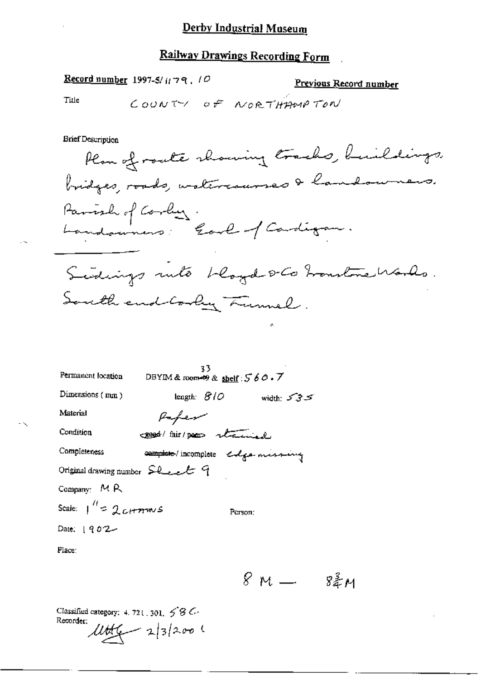Record number 1997-5/ $\mu$ 79, 10

Previous Record number

Title

COUNTY OF NORTHAMPTON

**Brief Description** 

Plan of route showing tracks, buildings, bridges, roads, watercaurses & landowners. Parish of Corby:<br>Landouners: Earl of Cardigan. Sedings into bloyd s- Co tronstructionles. South end Cooky Lumel.

| Permanent location                                                      | 33<br>DBYIM & room $\not\Rightarrow$ & shelf : $560.7$ |            |
|-------------------------------------------------------------------------|--------------------------------------------------------|------------|
| Dimensions (mm)                                                         | length: $BIO$                                          | width: 535 |
| Material                                                                | Paper                                                  |            |
| Condition                                                               | creed this poor stained                                |            |
| Completeness                                                            | complete / incomplete colga missing                    |            |
| Original drawing number $\mathcal{L}_{\text{test}}$ $\in$ $\mathcal{C}$ |                                                        |            |
| Company: $M R$                                                          |                                                        |            |
| Scale: $1^{\prime\prime}$ = 2 cH mw s                                   |                                                        | Person:    |
| Date: $1902 -$                                                          |                                                        |            |
| Place:                                                                  |                                                        |            |

 $8M - 82M$ 

Classified category: 4, 721, 301,  $\leq$   $\leq$   $\leq$ Recorder:  $14 + 232001$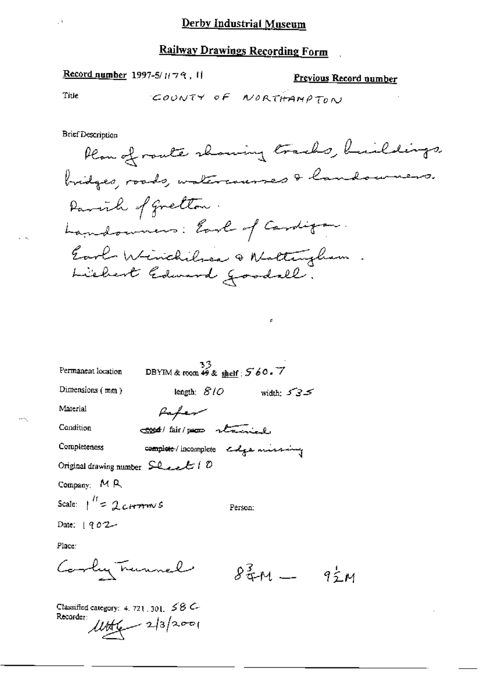Record number 1997-5/1179, 11

Previous Record number

Title

COUNTY OF NORTHAMPTON

**Brief Description** 

Plan of route showing tracks, buildings, bridges, roads, watercauses & landourners. Parish of gretton. Landowners: Earl of Cardigan. Earl Winchilses & Nattingham

š.

| $33$<br>DBYIM & room $49$ & shelf : $560.7$<br>Permanent location |                                     |     |
|-------------------------------------------------------------------|-------------------------------------|-----|
| Dimensions $(mn)$<br>length: $\mathcal{S}$ / $\mathcal{O}$        | width: $535$                        |     |
| Material<br>Hafer                                                 |                                     |     |
| Condition<br>cood/fair/pego stained                               |                                     |     |
| Completeness                                                      | complete / incomplete colga missing |     |
| Original drawing number $SL$ e et (0                              |                                     |     |
| Company: MR                                                       |                                     |     |
| Scale: $1^{\prime\prime} = 2c$ H $m$ s                            | Person:                             |     |
| Date: 1902                                                        |                                     |     |
| Place:                                                            |                                     |     |
| Cooky Trunnel                                                     | $8\frac{3}{4}$ M $-$                | 92M |
| Classified category: 4, 721 301 $\leq$ 8 $\sim$                   |                                     |     |

Recorder  $lltt_{4} = 2|3|2001$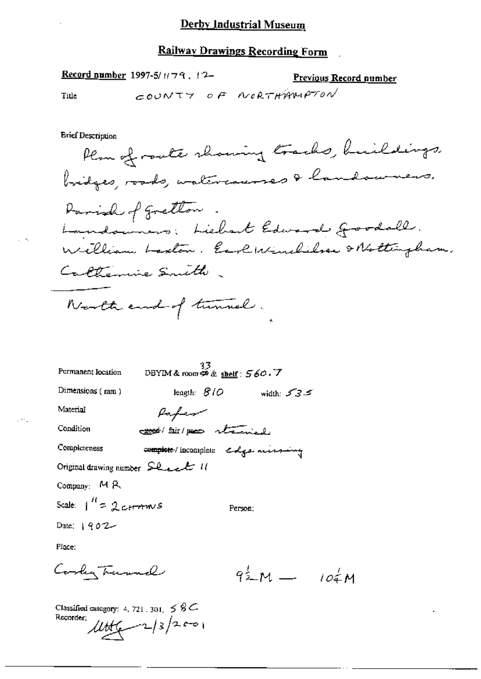#### Railway Drawings Recording Form

Record number 1997-5/1179, 12-Previous Record number COUNTY OF NORTHAMPTON Title **Brief Description** Plan of roate showing tracks, huildings. bridges, roads, watercourses & landowners. Darish of gretton. Landowners; Liebert Edward groodall. William Laston. Earl Winchilser & Nottingham. Calterine Smith. North end of tunnel. 0BYIM & room  $\mathcal{D}$  & shelf :  $560.7$ Permanent location Dimensions (mm) length:  $8/0$ width:  $535$ Material Paper Condition cook/fair/poor strengly complete/incomplete colgar missing Completeness Original drawing number  $SL_{\ell}L$  11 Company: MR Scale:  $1^{H}$  = 2 cH  $\tau$ m/s Person: Date:  $1902 -$ Place: Cordy Turnel  $92^1$ M  $-$  102M

Classified category: 4, 721, 301,  $\leq 8C$ Recorder:  $4446 - 2/3/2001$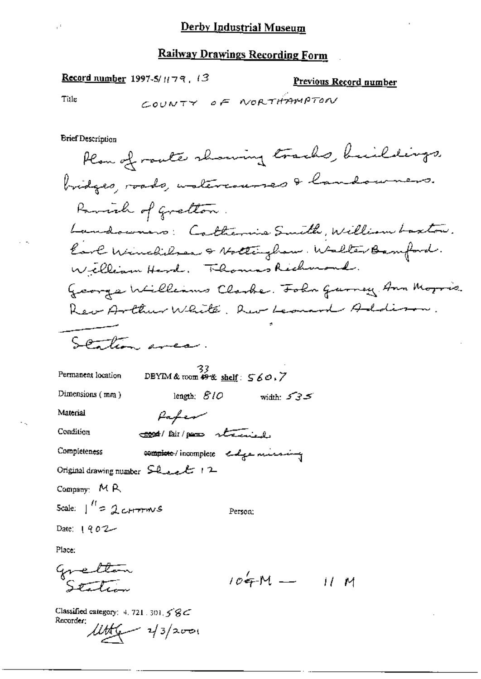Record number 1997-5/1(79, 13

#### Previous Record number

Title

 $\bar{\mathbb{P}}^1$ 

COUNTY OF NORTHAMPTON

**Brief Description** 

Place:

÷.

Classified category: 4, 721, 301, 58C Recorder:  $446 - 13/2001$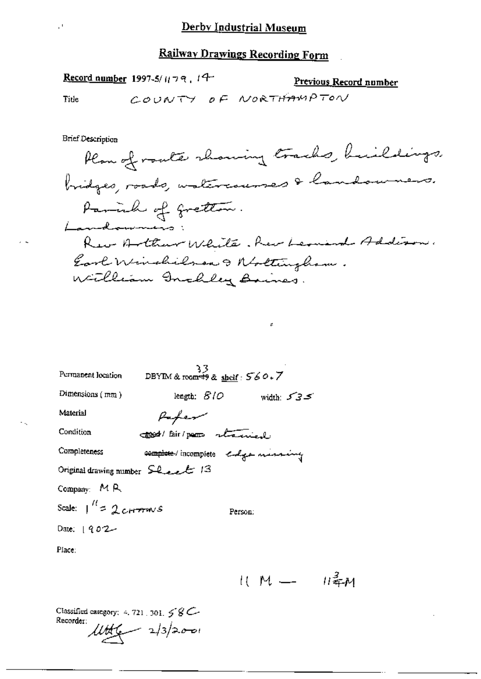Record number 1997-5/1179, 19-Previous Record number COUNTY OF NORTHAMPTON Title

**Brief Description** 

 $\mathcal{O}$ 

÷.

 $\mathcal{L}$ 

| Permanent location               | 33<br>DBYIM & room#9 & <u>sheif</u> : 560.7 |              |
|----------------------------------|---------------------------------------------|--------------|
| Dimensions $(mn)$                | length: $\mathcal{B}/\mathcal{O}$           | width: $535$ |
| Material                         | Parfer                                      |              |
| Condition                        | 2000/ Bir/par stanied                       |              |
| Completeness                     | complete / incomplete edge mining           |              |
| Original drawing number Sheet 13 |                                             |              |
| Company: $M R$                   |                                             |              |
| Scale: $1^{11}$ = 2 cH mws       |                                             | Person:      |
| Date: $1902 -$                   |                                             |              |
| Place:                           |                                             |              |

 $11 M - 11^2 M$ 

Classified category:  $4.721, 301, 58$ Recorder:  $lltt(1) = 2/3/2001$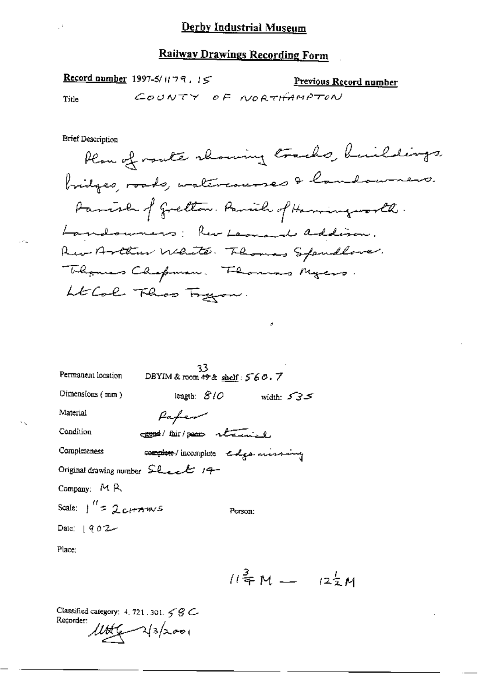Record number 1997-5/1179, 15 Previous Record number COUNTY OF NORTHAMPTON Title

**Brief Description** 

 $\mathbb{R}^3$ 

 $\mathcal{O}_{\mathcal{A}}$ 

×,

 $\epsilon$ 

| Permanent location              | 23.<br>DBYIM & room $49$ & shelf: $560.7$                                                      |              |
|---------------------------------|------------------------------------------------------------------------------------------------|--------------|
| Dimensions $(mn)$               | length: $\mathcal{S}/\mathcal{O}$                                                              | width: $535$ |
| Material                        | Pafer                                                                                          |              |
| Condition                       | Cook/ fair/poor received                                                                       |              |
| Completeness                    | complete / incomplete colga missing                                                            |              |
|                                 | Original drawing number $\mathsf{S}\mathsf{L}_{\mathsf{c}\mathsf{c}\mathsf{c}}\mathsf{L}'$ 19- |              |
| Company: $M R$                  |                                                                                                |              |
| Scale: $\int_{0}^{H} = 2cH + m$ | Person:                                                                                        |              |
| Date: $902 -$                   |                                                                                                |              |
|                                 |                                                                                                |              |

Place;

 $11^{\frac{3}{4}}M - 12^{\frac{1}{2}}M$ 

Classified category: 4, 721, 301,  $\leq$   $\mathcal{G}$   $\subset$ Recorder:  $11 + 23/2001$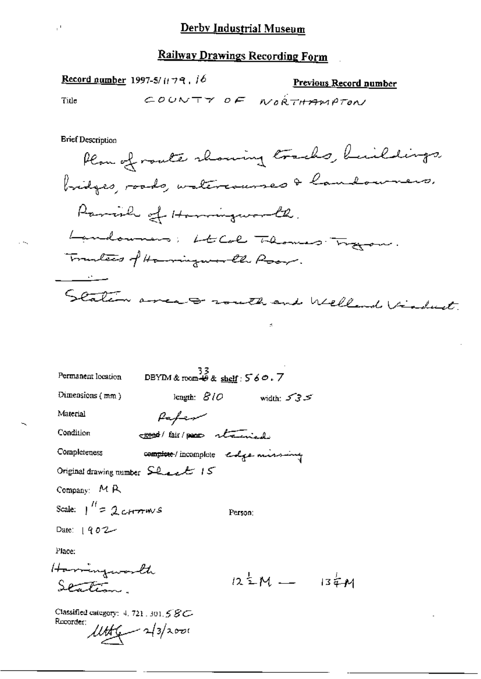Title

 $\mathbb{P}^1$ 

Previous Record number

COUNTY OF NORTHAMPTON

**Brief Description** 

Record number 1997-5/1179, 16

 $\boldsymbol{\pi}$ 

| Permanent location                     | 33<br>DBYIM&room+9& <u>shelf</u> :56の.7 |                            |                                   |  |
|----------------------------------------|-----------------------------------------|----------------------------|-----------------------------------|--|
| Dimensions (mm)                        |                                         | length: $B/O$ width: $S3S$ |                                   |  |
| Material                               | fafew                                   |                            |                                   |  |
| Condition                              | good/fair/poor stand                    |                            |                                   |  |
| Completeness                           | complete / incomplete endge missing     |                            |                                   |  |
|                                        | Original drawing number Sheet 15        |                            |                                   |  |
| Company: $M R$                         |                                         |                            |                                   |  |
| Scale: $\int_{0}^{H}$ = 2 cH $\pi$ m/s |                                         | Person:                    |                                   |  |
| Date: $902 -$                          |                                         |                            |                                   |  |
| Place:                                 |                                         |                            |                                   |  |
| Harringworth                           |                                         |                            |                                   |  |
| P                                      |                                         |                            | $12\frac{1}{2}M - 13\frac{1}{4}M$ |  |
|                                        |                                         |                            |                                   |  |

Classified category: 4, 721, 301, 5 8 C-Recorder:  $446 - 213/200$ 

 $\mathcal{L} \rightarrow \mathcal{L}$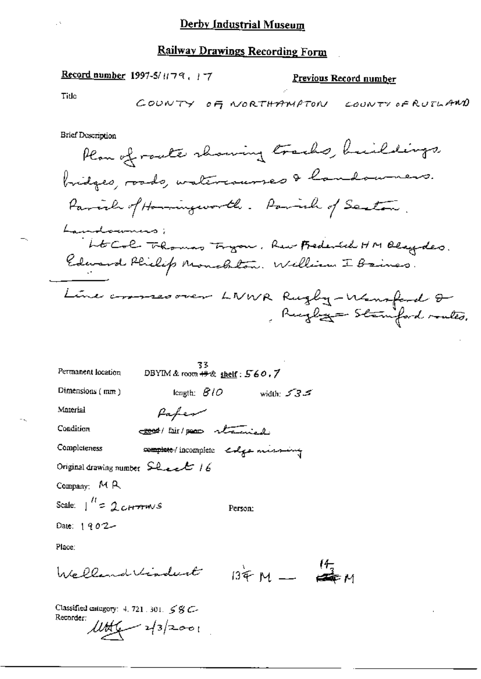### Record number 1997-5/1179, 17

## Previous Record number

Title

Ų.

ÿ.

**Brief Description** 

| Permanent location                             | 33<br>DBYIM & room $#x$ shelf: $560.7$ |                                   |  |
|------------------------------------------------|----------------------------------------|-----------------------------------|--|
| Dimensions (mm)                                |                                        | length: $B1O$ width: $53.5$       |  |
| Material                                       | Paper                                  |                                   |  |
| Condition                                      | cook/ fair/ poor stand                 |                                   |  |
| Completeness                                   |                                        | complete/incomplete colge missing |  |
| Original drawing number $SL$ events 16         |                                        |                                   |  |
| Company: $M R$                                 |                                        |                                   |  |
| Scale:   <sup>11</sup> = 2c <del>rra</del> mus |                                        | Person:                           |  |
| Date: 1902                                     |                                        |                                   |  |
| Place:                                         |                                        |                                   |  |
| Welland Vindert $134 M - 17$                   |                                        |                                   |  |

Classified category:  $4, 721, 301, 58$  C-Recorder:  $\frac{1146}{2} - \frac{1}{3} = -0$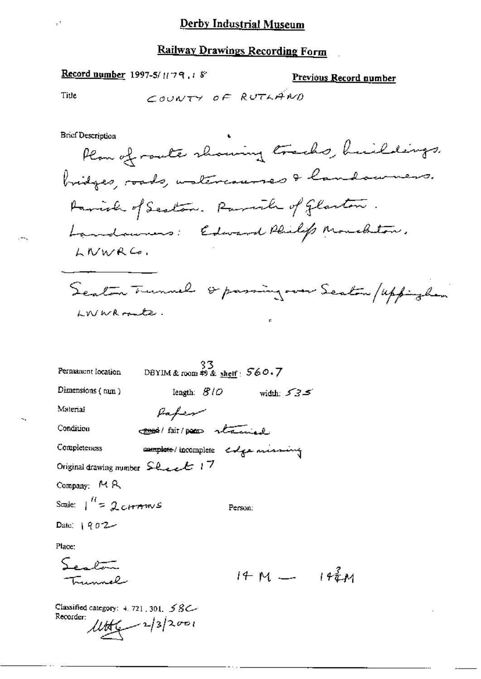#### **Railway Drawings Recording Form**

**Record number** 1997-5/1179.18 Previous Record number COUNTY OF RUTLAND Title **Brief Description** Plan of route showing tracks, huildings. bridges, roads, untercourses & landourses. Parish of Scoton. Parish of Glaston. Landaumers: Edward Philip Monchton. LIVWRC. Seaton Trunnel or passing over Scaton / uppingham LWWR conter.  $33$ <br>DBYIM & room #9 & shelf:  $560.7$ Permanent location Dimensions  $(mn)$ length:  $B1D$ width:  $535$ Paper Material cook/ fair/poor stained Condition complete/incomplete estge missing Completeness Original drawing number  $\text{Sheck}$  17 Company: MR Scale:  $\frac{1}{1}$  = 2 cH m w s Person: Date:  $902 -$ Place:

 $S_{\rm max}$  $14 M - 14^2 M$ ساھومبر دري

Classified category:  $4.721$ , 301,  $58$ C Recorder:  $4449 - 2/3/2001$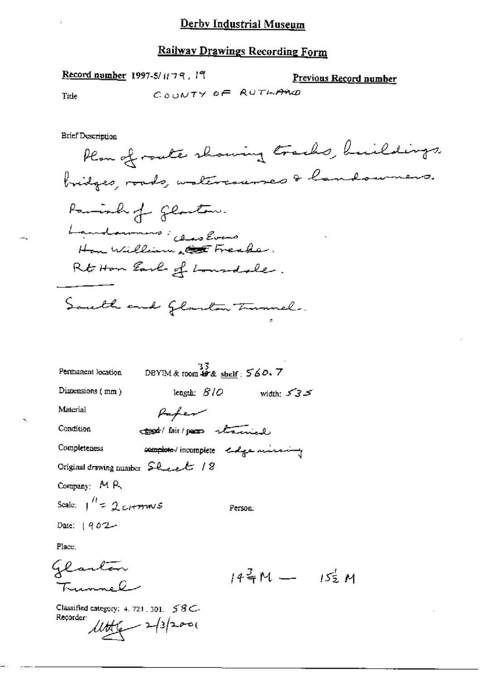## Railway Drawings Recording Form

Record number 1997-5/1179, 19

Previous Record number

Title

 $-$ 

COUNTY OF RUTHAND

**Brief Description** 

| Permanent location               | $^{33}_{\text{DBYIM}}$ & room $^{49}$ & shelf : 560. 7 |  |
|----------------------------------|--------------------------------------------------------|--|
| Dimensions (mm)                  | length: $BIO$<br>width: $535$                          |  |
| Material                         | Paper                                                  |  |
| Condition                        | tood/ lair/page stained.                               |  |
| Completeness                     | complete / incomplete edge missing                     |  |
| Original drawing number Sheet 18 |                                                        |  |
| Company: MR                      |                                                        |  |
| Scale: $1^{11} = 2$ channels     | Person:                                                |  |
| Date: $902 -$                    |                                                        |  |
| Place;                           |                                                        |  |
| glaston                          |                                                        |  |
|                                  | 14千M — 15元M                                            |  |

Classified category: 4, 721, 301, 58C- $11 + 2 - 13/200$ Recorder: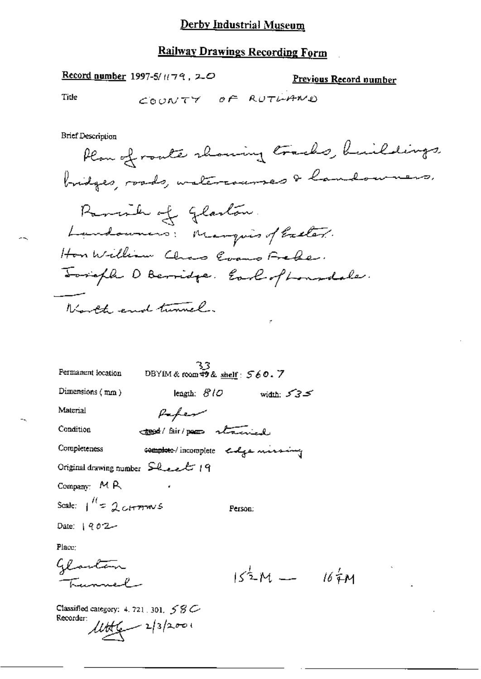#### **Railway Drawings Recording Form**

Record number 1997-5/ $H79$ , 20

Previous Record number

Title

COUNTY OF RUTLAND

**Brief Description** 

Plan of route showing tracks, buildings bridges, roads, watercourses & landowners. Parish of Glaston. Landowners: Marquisof Exeter. Hon William Chas Corano Frede. Toright D Berridge. Earl of Lonndale. North end tunnel.

| Permanent location                                 | 33<br>DBYIM& room中& shelf: 560. 7   |                            |       |
|----------------------------------------------------|-------------------------------------|----------------------------|-------|
| Dimensions $(mn)$                                  |                                     | length: $810$ width: $535$ |       |
| Material                                           | Paper                               |                            |       |
| Condition                                          | tood/lair/page stairs               |                            |       |
| Completeness                                       | complete / incomplete colga missing |                            |       |
| Original drawing number Sheel 19                   |                                     |                            |       |
| Company: MR                                        |                                     |                            |       |
| Scale: $1^{11}$ = 2 ctrown s                       |                                     | Person:                    |       |
| Date: $902 -$                                      |                                     |                            |       |
| Place:                                             |                                     |                            |       |
| Glanton<br>Trennel                                 |                                     | $15^{\frac{1}{2}}M$ -      | 16/4M |
| Classified category: $4.721 \cdot 301 \leq Q \leq$ |                                     |                            |       |

Recorder  $l l t + 2 |3|2001$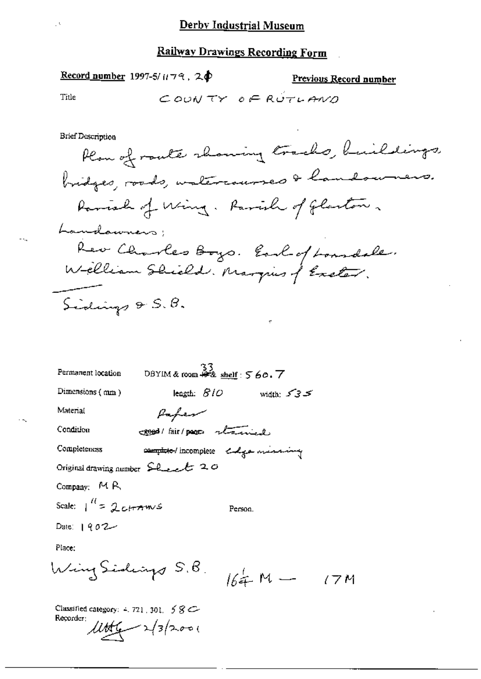### Record number 1997-5/1179, 20

Previous Record number

Title

- -.,

 $\mathcal{O}$ 

**Brief Description** 

 $\vec{\tau}$ 

| Permanent location          | DBYIM & room $\stackrel{33}{\bullet}$ shelf: $560.7$   |            |
|-----------------------------|--------------------------------------------------------|------------|
| Dimensions $(mn)$           | leagth: $\mathcal{BIO}$                                | width: 535 |
| Material                    | Paper                                                  |            |
| Condition                   | creed / fair / pages there is                          |            |
| Completeness                | complete / incomplete calgo massive                    |            |
|                             | Original drawing number $\mathcal{L}_{\text{test}}$ 20 |            |
| Company: MR                 |                                                        |            |
| Scale: $1^{11} = 2c$ trains | Person.                                                |            |
| Date: $1902 -$              |                                                        |            |
| Place:                      |                                                        |            |
| Wing Sideirys 5.B.          |                                                        | $164. M -$ |

Classified category:  $4.721$ , 301,  $58C$ Recorder:  $1146 - 2/3/2000$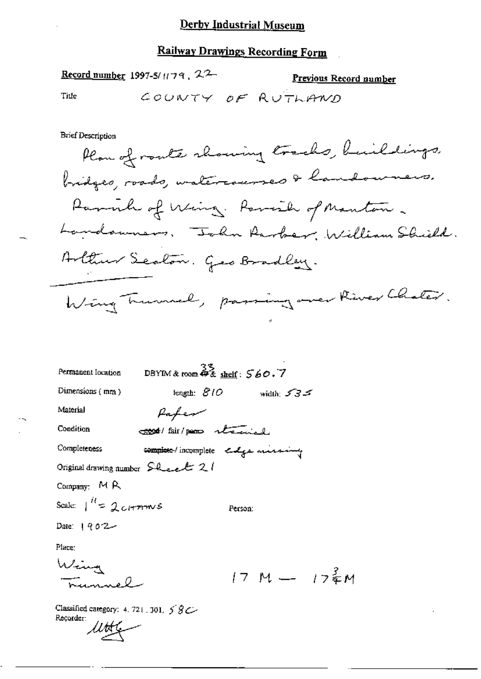## **Railway Drawings Recording Form**

| <b>Record number</b> 1997-5/1179, 22<br>Previous Record number                |
|-------------------------------------------------------------------------------|
| Title<br>COUNTY OF RUTHAND                                                    |
|                                                                               |
| <b>Brief Description</b>                                                      |
| Plan of route showing tracks, buildings,                                      |
| bridges, roads, watercourses & landouners,                                    |
| Paralle of Wing. Parish of Manton.                                            |
| Landswuars, "John Rarber, William Shield.                                     |
| Hottwo Seaton. Geo Bradley.                                                   |
| Wing Trumel, passing over River Chater.                                       |
|                                                                               |
|                                                                               |
| DBYIM & room $\overset{\sim}{\bullet}$ & shelf: $560.7$<br>Permanent location |
| Dimensions $(mn)$<br>length: $BIO$<br>width: $535$                            |
| Material<br>Pafer                                                             |
| Condition<br>cool/fair/poor received                                          |
| complete / incomplete enga missing<br>Completeness                            |
| Original drawing number $\mathsf{S\ι}\mathsf{L\ι\mathsf{L}}$ 2                |
| Company: MR                                                                   |
| Scale: $\int_{0}^{R} = 2c$ (rm $\sim$ 5<br>Person:                            |
| Date: $902 -$                                                                 |
| Place:                                                                        |
| Wing<br>Trumnel                                                               |
| $17 M - 17$ $_{2}^{2}M$                                                       |
| Classified category: 4, 721, 301, $58$                                        |

 $\overline{a}$ 

Recorder:<br>LU<del>U</del> س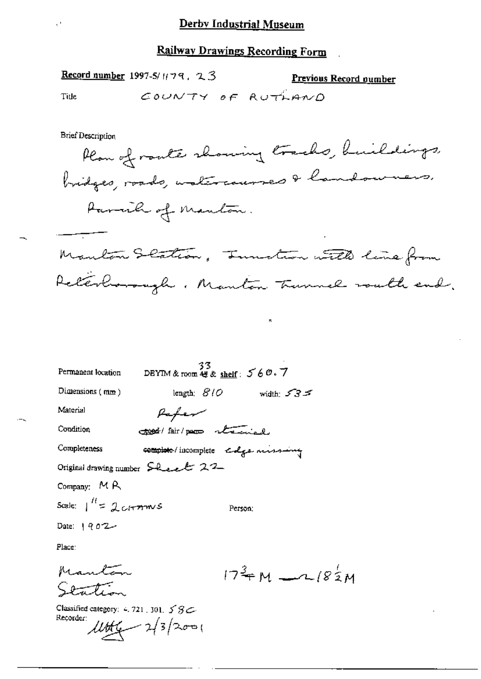## **Railway Drawings Recording Form**

Record number 1997-5/ $1/79$ ,  $23$ 

Previous Record oumber COUNTY OF RUTHAND

**Brief Description** 

Title

Plan of route showing tracks, buildings, bridges, roads, watercourses & landowners. Parcile of Manton. Manton Scation, Innation with line from Reterlionsugh, Manton Trunnel would end.

| Permanent location                 | $33$<br>DBYIM & room $48$ & shelf: $560.7$ |         |                                             |
|------------------------------------|--------------------------------------------|---------|---------------------------------------------|
| Dimensions $(mm)$                  | length: $\mathcal{B}/\mathcal{O}$          |         | width $535$                                 |
| Material                           | Pafer                                      |         |                                             |
| Condition                          | 300 fair/page staniel                      |         |                                             |
| Completeness                       | complete / incomplete colge missing        |         |                                             |
| Original drawing number Sheet 22   |                                            |         |                                             |
| Company: $M R$                     |                                            |         |                                             |
| Scale: $\int_1^{H}$ = $2$ c/+77mvS |                                            | Person: |                                             |
| Date: $902 -$                      |                                            |         |                                             |
| Place:                             |                                            |         |                                             |
|                                    |                                            |         | $17^{\frac{3}{4}}$ M - $18^{\frac{1}{2}}$ M |

Classified category: 4, 721, 301,  $58C$ Reçorder:  $1004 - 2/3/2001$ 

Station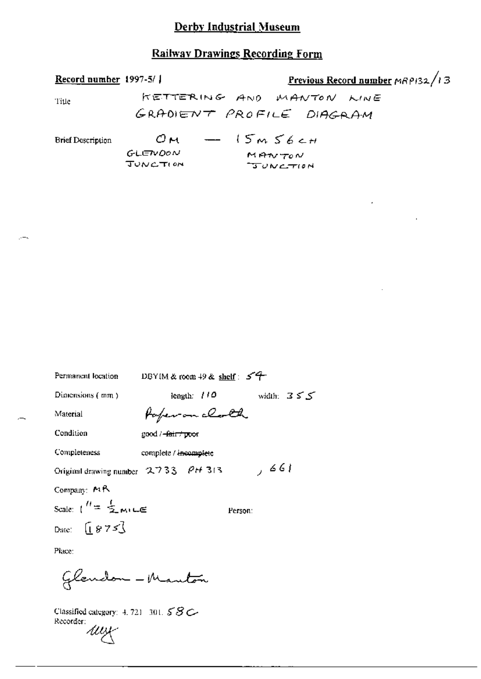## **Railway Drawings Recording Form**

| Record number $1997-5/$  |                             | Previous Record number $\triangle R$ P132/13 |
|--------------------------|-----------------------------|----------------------------------------------|
| Title                    |                             | KETTERING AND MANTON WINE                    |
|                          |                             | GRADIENT PROFILE DIAGRAM                     |
| <b>Brief Description</b> |                             | $OM = 15m56cm$                               |
|                          | GLETVDON<br><b>JUNCTION</b> | MANTON<br>$T$ $UV$ $C$ $T$ $10N$             |

 $T$  $UVCTION$ 

 $55$ 

| Permanent location                        | DBYIM & room $+9$ & shelf: $54$ |         |            |
|-------------------------------------------|---------------------------------|---------|------------|
| Dimensions $($ $mn)$                      | length: $110$                   |         | width: $3$ |
| Material                                  | Paper on clock                  |         |            |
| Condition                                 | good / <del>-fair / poo</del> r |         |            |
| Completeness                              | complete / incomplete           |         |            |
| Original drawing number 2733 PH 313       |                                 |         | 661 ر      |
| Company: $MR$                             |                                 |         |            |
| Scale: $\binom{n}{2}$ music               |                                 | Person: |            |
| Date: $\begin{bmatrix} 875 \end{bmatrix}$ |                                 |         |            |
| Place:                                    |                                 |         |            |

Glendon - Mauton

 $\cdot$  –  $\cdot$ 

Classified category: 4, 721–301,  $58C$ Recorder: wy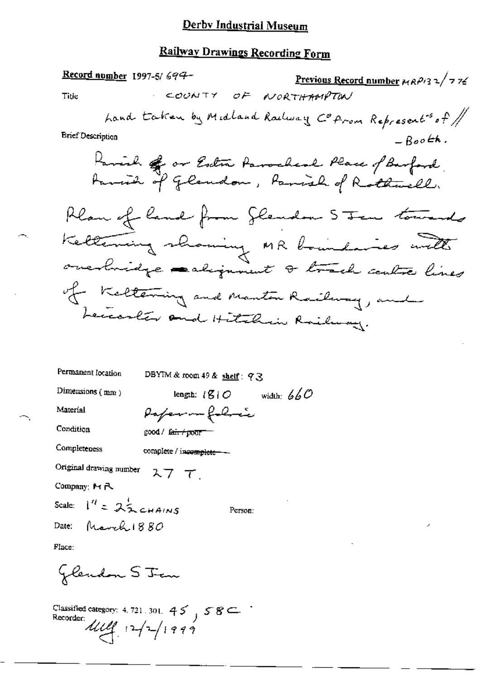### **Railway Drawings Recording Form**

Record number 1997-5/694-Previous Record number  $mRP/3$  2/7 76 COUNTY OF NORTHAMPTON Title hand taken by Midland Railway Cofrom Represents of / **Brief Description**  $-$  Booth. Parish of or Estra Parocheal Place of Barford<br>Austral of Glaudon, Parish of Rothwell, Plan of land from Slendon Sten towards Kettering showing MR boundaries with overbridge each juneat & track centre lines of Keltering and Manton Railway, and Leccoreter and Hitchin Railway. Permanent location DBYIM & room 49 & shelf:  $q \gtrsim$ Dimensions  $(mn)$ length:  $\mathcal{B}$  |  $\mathcal{O}$  width:  $660$ Paper - folice Material

good / fair / poor

complete / incomplete --

Original drawing number スフーて

Company: MR

Condition

Completeness

Scale:  $1^{\prime\prime}$  =  $2\frac{1}{2}$  chains Date: March  $1880$ 

Person:

Place:

Jlendon S Jem

Classified category: 4.721.301.  $45$ ,  $58$  C Recorder:<br> $4\frac{1}{4}$ ,  $12\frac{1}{4}$ ,  $199$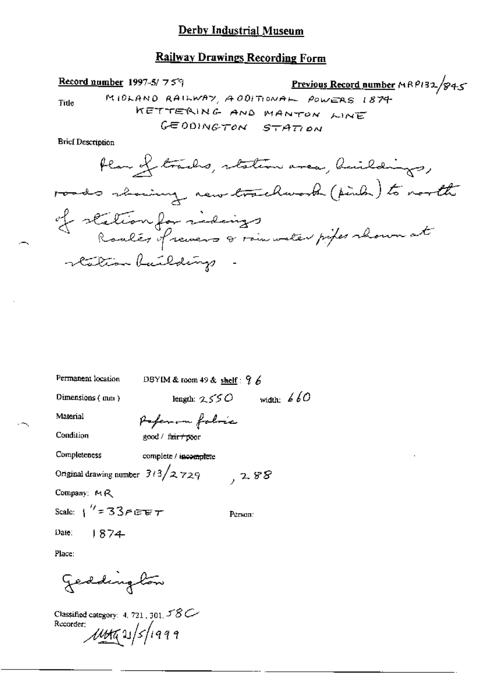### **Railway Drawings Recording Form**

Previous Record number MRP132/845 Record number 1997-5/759 MIDLAND RAILWAY, ADDITIONAL POWERS 1874 Title KETTERING AND MANTON LINE GEODINGTON STATION

**Brief Description** 

| Permanent location                      | DBYIM & room 49 & shelf : $9.6$ |              |
|-----------------------------------------|---------------------------------|--------------|
| Dimensions (mm)                         | length: $250$                   | width: $660$ |
| Material                                | Popen in folnic                 |              |
| Condition                               | good / f <del>air / po</del> or |              |
| Completeness                            | complete / incomplete           |              |
| Original drawing number $3/3/2$ 729     |                                 | , 288        |
| Company: MR                             |                                 |              |
| Scale: $1''$ = 33 $\epsilon$ exp $\tau$ |                                 | Person:      |
| Date: $1874$                            |                                 |              |
|                                         |                                 |              |

Place:

ч,

geddington

Classified category: 4, 721, 301,  $58C$ Recorder;  $\mu$ n as/s/1999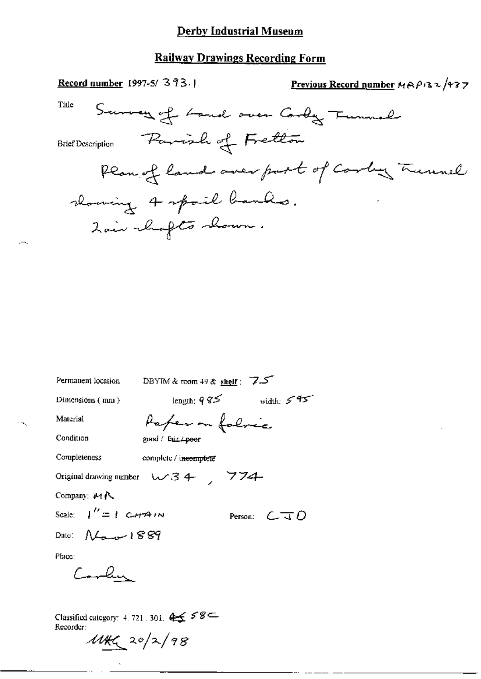## **Railway Drawings Recording Form**

| Record number 1997-5/393.                                                       | <u>Previous Record number</u> $MAP$ is $2/13$ 7 |
|---------------------------------------------------------------------------------|-------------------------------------------------|
| Title<br>Survey of Land over Cordy Tunnal                                       |                                                 |
| Parish of Fretton<br>Brief Description                                          |                                                 |
| Plan of land over port of Carly Turnel                                          |                                                 |
| slowing 4 spoil banks.                                                          |                                                 |
| Lair chafts chown.                                                              |                                                 |
|                                                                                 |                                                 |
|                                                                                 |                                                 |
|                                                                                 |                                                 |
|                                                                                 |                                                 |
|                                                                                 |                                                 |
| DEVIAL $\theta$ , reads and share $\overline{7}$ .<br><b>Dermanant Josefian</b> |                                                 |

| Permanent location          | DBYIM & toom 49 & shelf : $7.5$                         |                                                              |
|-----------------------------|---------------------------------------------------------|--------------------------------------------------------------|
| Dimensions (nm)             | length: $9\,\%$                                         | width: $5.95$                                                |
| Material                    | Paper on folocc                                         |                                                              |
| Condition                   | gmxl / Eur. / poor                                      |                                                              |
| Completeness                | complete / incomplete                                   |                                                              |
|                             | Original drawing number $\forall x \in \mathcal{F}$ 774 |                                                              |
| Company: $M \Lambda$        |                                                         |                                                              |
| Scale: $\int'' = 1$ C-HAIN  |                                                         | Person: $\mathcal{L}$ $\overline{\mathcal{A}}$ $\mathcal{D}$ |
| Date: $N_{\text{max}}$ 1889 |                                                         |                                                              |
| $PIacc$ :                   |                                                         |                                                              |
| Canden                      |                                                         |                                                              |
|                             |                                                         |                                                              |
|                             |                                                         |                                                              |

Classified category: 4, 721, 301,  $45558$  =

 $\tilde{\mathcal{A}}$ 

 $444220/2/98$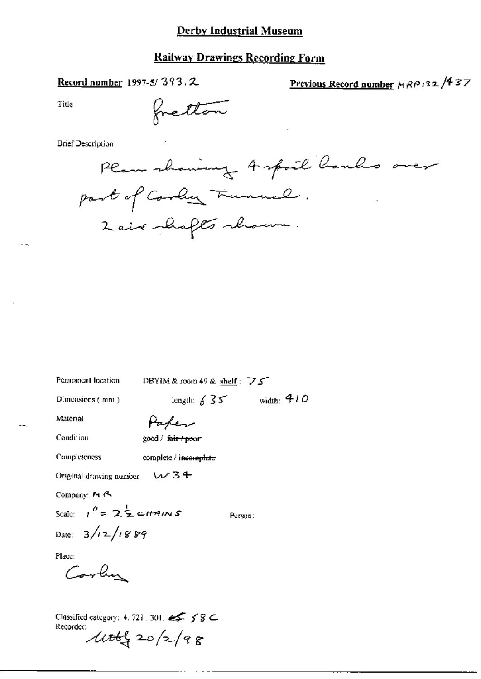### **Railway Drawings Recording Form**

Record number 1997-5/393.2

Previous Record number MRP132/437

Title

fretton

**Brief Description** 

Plan showing Aspoil Roules over part of Coording Trunnel. 2 air shafts shown.

DBYIM & room 49 & shelf: 75 Permanent location

Dimensions (mm)

length:  $635$  width: 410

Material

Parler

Condition

Completeness

good / fair / poor

complete / incomplete

 $W34$ Original drawing number

Company: M A

Scale:  $1^h = 2\frac{1}{2}$  cHAINS Date:  $3/12/1889$ 

Person:

Place:

Corlin

Classified category: 4, 721, 301,  $\iff$  5 8  $\subseteq$ Recorder:  $400120/28$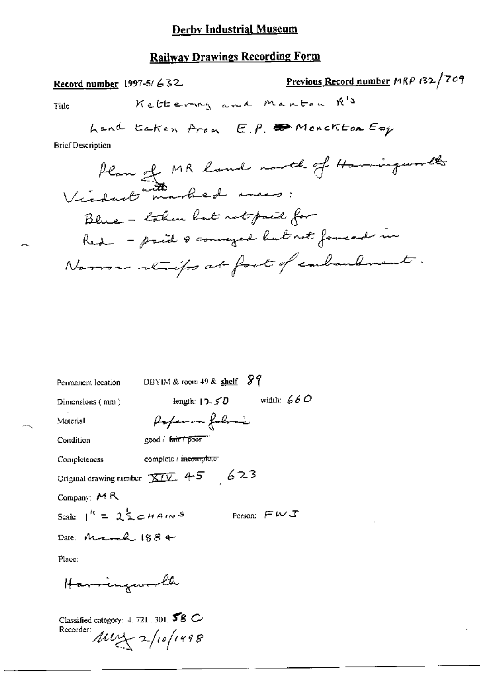### **Railway Drawings Recording Form**

Previous Record number MRP 132/709 Record number 1997-5/ $632$ Kettering and Manton R's Title hand taken from E.P. Wonckton Emp **Brief Description** Plan of MR land north of Harringworth Victoriat with arbed amens: Blue - taken but not paid for Red - paid & conveyed but not forecast in

| Permanent location                                      | DBYIM & room $49$ & shelf: $87$     |  |  |  |
|---------------------------------------------------------|-------------------------------------|--|--|--|
| Dimensions (nm)                                         | width: $660$<br>length: $12.50$     |  |  |  |
| Material                                                | Poper on folice                     |  |  |  |
| Condition                                               | good / fair / poor                  |  |  |  |
| Completeness                                            | complete / i <del>ncom</del> pleter |  |  |  |
| Original drawing number $\overline{\text{XIV}}$ 4-5 623 |                                     |  |  |  |
| Company: $M R$                                          |                                     |  |  |  |
| Scale: $1^k = 2^{\frac{1}{2}}$ c <i>hains</i>           | Person: $FMJ$                       |  |  |  |
| Date: March 1884                                        |                                     |  |  |  |
| Place:                                                  |                                     |  |  |  |
|                                                         |                                     |  |  |  |

Harringworld

Classified category: 4, 721, 301,  $58$  C Recorder:  $\mu v$   $\rightarrow$  /10/1998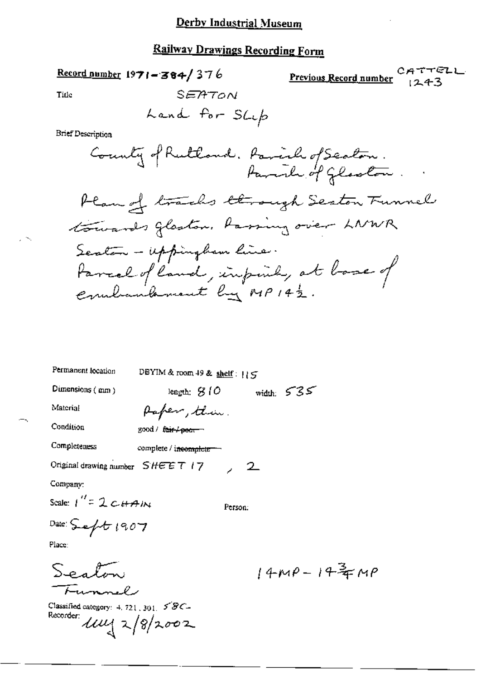Record number  $1971 - 384/376$ 

CATTELL Previous Record number  $1243$ 

Title

 $\sim$ 

SEATON

**Brief Description** 

| Permanent location    | DBYIM & room 49 & shelf: $15$        |         |                                    |  |
|-----------------------|--------------------------------------|---------|------------------------------------|--|
| Dimensions $($ mm $)$ | length: S (O                         |         | width: $535$                       |  |
| Material              | Paper, then.                         |         |                                    |  |
| Condition             | good / f <del>air / pear -</del>     |         |                                    |  |
| Completeness          | complete / i <del>ncomplete ==</del> |         |                                    |  |
|                       | Original drawing number $SHEET$   7  | 2       |                                    |  |
| Company:              |                                      |         |                                    |  |
| Scale: $1'' = 2cHAM$  |                                      | Person: |                                    |  |
| Date: $S = 1907$      |                                      |         |                                    |  |
| Place:                |                                      |         |                                    |  |
| Sealm                 |                                      |         | $14\mu\rho - 14\frac{3}{4}\mu\rho$ |  |
| Funnel                |                                      |         |                                    |  |

Classified category: 4, 721, 301, 58C-<br>Recorder:  $\mu = \frac{1}{2} \sqrt{\frac{2}{2}} \approx 2$